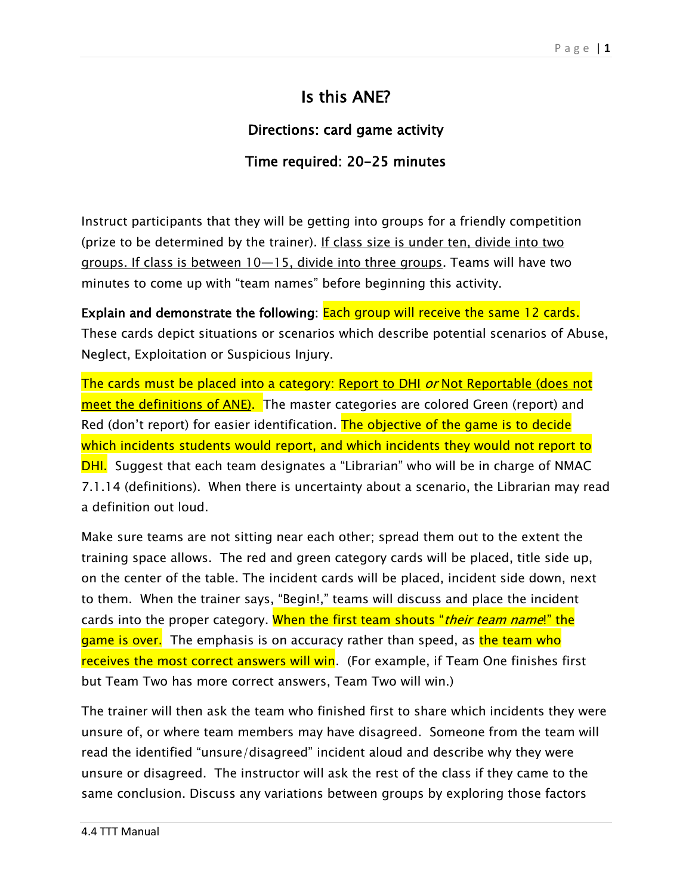## Is this ANE?

## Directions: card game activity

## Time required: 20-25 minutes

Instruct participants that they will be getting into groups for a friendly competition (prize to be determined by the trainer). If class size is under ten, divide into two groups. If class is between 10—15, divide into three groups. Teams will have two minutes to come up with "team names" before beginning this activity.

Explain and demonstrate the following: Each group will receive the same 12 cards. These cards depict situations or scenarios which describe potential scenarios of Abuse, Neglect, Exploitation or Suspicious Injury.

The cards must be placed into a category: Report to DHI or Not Reportable (does not meet the definitions of ANE). The master categories are colored Green (report) and Red (don't report) for easier identification. The objective of the game is to decide which incidents students would report, and which incidents they would not report to **DHI.** Suggest that each team designates a "Librarian" who will be in charge of NMAC 7.1.14 (definitions). When there is uncertainty about a scenario, the Librarian may read a definition out loud.

Make sure teams are not sitting near each other; spread them out to the extent the training space allows. The red and green category cards will be placed, title side up, on the center of the table. The incident cards will be placed, incident side down, next to them. When the trainer says, "Begin!," teams will discuss and place the incident cards into the proper category. When the first team shouts "*their team name*!" the game is over. The emphasis is on accuracy rather than speed, as the team who receives the most correct answers will win. (For example, if Team One finishes first but Team Two has more correct answers, Team Two will win.)

The trainer will then ask the team who finished first to share which incidents they were unsure of, or where team members may have disagreed. Someone from the team will read the identified "unsure/disagreed" incident aloud and describe why they were unsure or disagreed. The instructor will ask the rest of the class if they came to the same conclusion. Discuss any variations between groups by exploring those factors